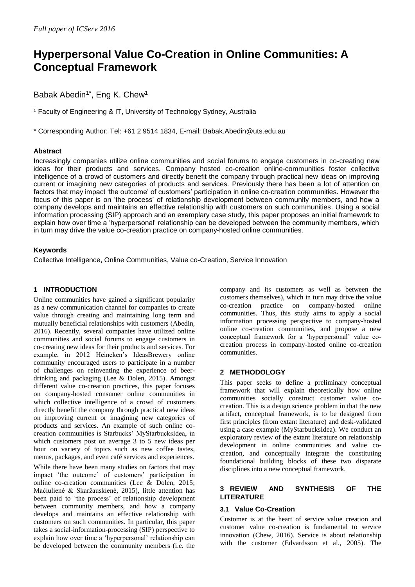# **Hyperpersonal Value Co-Creation in Online Communities: A Conceptual Framework**

Babak Abedin<sup>1\*</sup>, Eng K. Chew<sup>1</sup>

<sup>1</sup> Faculty of Engineering & IT, University of Technology Sydney, Australia

\* Corresponding Author: Tel: +61 2 9514 1834, E-mail: Babak.Abedin@uts.edu.au

## **Abstract**

Increasingly companies utilize online communities and social forums to engage customers in co-creating new ideas for their products and services. Company hosted co-creation online-communities foster collective intelligence of a crowd of customers and directly benefit the company through practical new ideas on improving current or imagining new categories of products and services. Previously there has been a lot of attention on factors that may impact 'the outcome' of customers' participation in online co-creation communities. However the focus of this paper is on 'the process' of relationship development between community members, and how a company develops and maintains an effective relationship with customers on such communities. Using a social information processing (SIP) approach and an exemplary case study, this paper proposes an initial framework to explain how over time a 'hyperpersonal' relationship can be developed between the community members, which in turn may drive the value co-creation practice on company-hosted online communities.

## **Keywords**

Collective Intelligence, Online Communities, Value co-Creation, Service Innovation

## **1 INTRODUCTION**

Online communities have gained a significant popularity as a new communication channel for companies to create value through creating and maintaining long term and mutually beneficial relationships with customers (Abedin, 2016). Recently, several companies have utilized online communities and social forums to engage customers in co-creating new ideas for their products and services. For example, in 2012 Heineken's IdeasBrewery online community encouraged users to participate in a number of challenges on reinventing the experience of beerdrinking and packaging (Lee & Dolen, 2015). Amongst different value co-creation practices, this paper focuses on company-hosted consumer online communities in which collective intelligence of a crowd of customers directly benefit the company through practical new ideas on improving current or imagining new categories of products and services. An example of such online cocreation communities is Starbucks' MyStarbucksIdea, in which customers post on average 3 to 5 new ideas per hour on variety of topics such as new coffee tastes, menus, packages, and even café services and experiences.

While there have been many studies on factors that may impact 'the outcome' of customers' participation in online co-creation communities (Lee & Dolen, 2015; Mačiulienė & Skaržauskienė, 2015), little attention has been paid to 'the process' of relationship development between community members, and how a company develops and maintains an effective relationship with customers on such communities. In particular, this paper takes a social-information-processing (SIP) perspective to explain how over time a 'hyperpersonal' relationship can be developed between the community members (i.e. the company and its customers as well as between the customers themselves), which in turn may drive the value co-creation practice on company-hosted online communities. Thus, this study aims to apply a social information processing perspective to company-hosted online co-creation communities, and propose a new conceptual framework for a 'hyperpersonal' value cocreation process in company-hosted online co-creation communities.

## **2 METHODOLOGY**

This paper seeks to define a preliminary conceptual framework that will explain theoretically how online communities socially construct customer value cocreation. This is a design science problem in that the new artifact, conceptual framework, is to be designed from first principles (from extant literature) and desk-validated using a case example (MyStarbucksIdea). We conduct an exploratory review of the extant literature on relationship development in online communities and value cocreation, and conceptually integrate the constituting foundational building blocks of these two disparate disciplines into a new conceptual framework.

## **3 REVIEW AND SYNTHESIS OF THE LITERATURE**

## **3.1 Value Co-Creation**

Customer is at the heart of service value creation and customer value co-creation is fundamental to service innovation (Chew, 2016). Service is about relationship with the customer (Edvardsson et al., 2005). The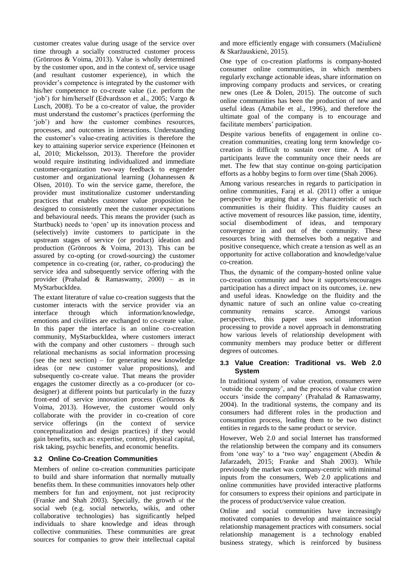customer creates value during usage of the service over time through a socially constructed customer process (Grönroos & Voima, 2013). Value is wholly determined by the customer upon, and in the context of, service usage (and resultant customer experience), in which the provider's competence is integrated by the customer with his/her competence to co-create value (i.e. perform the 'job') for him/herself (Edvardsson et al., 2005; Vargo & Lusch, 2008). To be a co-creator of value, the provider must understand the customer's practices (performing the 'job') and how the customer combines resources, processes, and outcomes in interactions. Understanding the customer's value-creating activities is therefore the key to attaining superior service experience (Heinonen et al, 2010; Mickelsson, 2013). Therefore the provider would require instituting individualized and immediate customer-organization two-way feedback to engender customer and organizational learning (Johannessen & Olsen, 2010). To win the service game, therefore, the provider must institutionalize customer understanding practices that enables customer value proposition be designed to consistently meet the customer expectations and behavioural needs. This means the provider (such as Startbuck) needs to 'open' up its innovation process and (selectively) invite customers to participate in the upstream stages of service (or product) ideation and production (Grönroos & Voima, 2013). This can be assured by co-opting (or crowd-sourcing) the customer competence in co-creating (or, rather, co-producing) the service idea and subsequently service offering with the provider (Prahalad & Ramaswamy, 2000) – as in MyStarbuckIdea.

The extant literature of value co-creation suggests that the customer interacts with the service provider via an interface through which information/knowledge, emotions and civilities are exchanged to co-create value. In this paper the interface is an online co-creation community, MyStarbuckIdea, where customers interact with the company and other customers – through such relational mechanisms as social information processing (see the next section) – for generating new knowledge ideas (or new customer value propositions), and subsequently co-create value. That means the provider engages the customer directly as a co-producer (or codesigner) at different points but particularly in the fuzzy front-end of service innovation process (Grönroos & Voima, 2013). However, the customer would only collaborate with the provider in co-creation of core service offerings (in the context of service conceptualization and design practices) if they would gain benefits, such as: expertise, control, physical capital, risk taking, psychic benefits, and economic benefits.

## **3.2 Online Co-Creation Communities**

Members of online co-creation communities participate to build and share information that normally mutually benefits them. In these communities innovators help other members for fun and enjoyment, not just reciprocity (Franke and Shah 2003). Specially, the growth of the social web (e.g. social networks, wikis, and other collaborative technologies) has significantly helped individuals to share knowledge and ideas through collective communities. These communities are great sources for companies to grow their intellectual capital

and more efficiently engage with consumers (Mačiulienė & Skaržauskienė, 2015).

One type of co-creation platforms is company-hosted consumer online communities, in which members regularly exchange actionable ideas, share information on improving company products and services, or creating new ones (Lee & Dolen, 2015). The outcome of such online communities has been the production of new and useful ideas (Amabile et al., 1996), and therefore the ultimate goal of the company is to encourage and facilitate members' participation.

Despite various benefits of engagement in online cocreation communities, creating long term knowledge cocreation is difficult to sustain over time. A lot of participants leave the community once their needs are met. The few that stay continue on-going participation efforts as a hobby begins to form over time (Shah 2006).

Among various researches in regards to participation in online communities, Faraj et al. (2011) offer a unique perspective by arguing that a key characteristic of such communities is their fluidity. This fluidity causes an active movement of resources like passion, time, identity, social disembodiment of ideas, and temporary convergence in and out of the community. These resources bring with themselves both a negative and positive consequence, which create a tension as well as an opportunity for active collaboration and knowledge/value co-creation.

Thus, the dynamic of the company-hosted online value co-creation community and how it supports/encourages participation has a direct impact on its outcomes, i.e. new and useful ideas. Knowledge on the fluidity and the dynamic nature of such an online value co-creating community remains scarce. Amongst various perspectives, this paper uses social information processing to provide a novel approach in demonstrating how various levels of relationship development with community members may produce better or different degrees of outcomes.

#### **3.3 Value Creation: Traditional vs. Web 2.0 System**

In traditional system of value creation, consumers were 'outside the company', and the process of value creation occurs 'inside the company' (Prahalad & Ramaswamy, 2004). In the traditional systems, the company and its consumers had different roles in the production and consumption process, leading them to be two distinct entities in regards to the same product or service.

However, Web 2.0 and social Internet has transformed the relationship between the company and its consumers from 'one way' to a 'two way' engagement (Abedin & Jafarzadeh, 2015; Franke and Shah 2003). While previously the market was company-centric with minimal inputs from the consumers, Web 2.0 applications and online communities have provided interactive platforms for consumers to express their opinions and participate in the process of product/service value creation.

Online and social communities have increasingly motivated companies to develop and maintaince social relationship management practices with consumers. social relationship management is a technology enabled business strategy, which is reinforced by business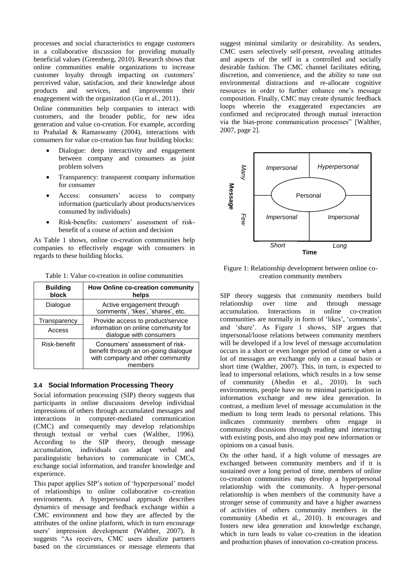processes and social characteristics to engage customers in a collaborative discussion for providing mutually beneficial values (Greenberg, 2010). Research shows that online communities enable organizations to increase customer loyalty through impacting on customers' perceived value, satisfacion, and their knowledge about products and services, and improvemtn their enagegement with the organization (Gu et al., 2011).

Online communities help companies to interact with customers, and the broader public, for new idea generation and value co-creation. For example, according to Prahalad & Ramaswamy (2004), interactions with consumers for value co-creation has four building blocks:

- Dialogue: deep interactivity and engagement between company and consumers as joint problem solvers
- Transparency: transparent company information for consumer
- Access: consumers' access to company information (particularly about products/services consumed by individuals)
- Risk-benefits: customers' assessment of riskbenefit of a course of action and decision

As Table 1 shows, online co-creation communities help companies to effectively engage with consumers in regards to these building blocks.

| <b>Building</b><br>block | How Online co-creation community<br>helps                                                                             |
|--------------------------|-----------------------------------------------------------------------------------------------------------------------|
| Dialogue                 | Active engagement through<br>'comments', 'likes', 'shares', etc.                                                      |
| Transparency<br>Access   | Provide access to product/service<br>information on online community for<br>dialogue with consumers                   |
| Risk-benefit             | Consumers' assessment of risk-<br>benefit through an on-going dialogue<br>with company and other community<br>members |

Table 1: Value co-creation in online communities

#### **3.4 Social Information Processing Theory**

Social information processing (SIP) theory suggests that participants in online discussions develop individual impressions of others through accumulated messages and interactions in computer-mediated communication (CMC) and consequently may develop relationships through textual or verbal cues (Walther, 1996). According to the SIP theory, through message accumulation, individuals can adapt verbal and paralinguistic behaviors to communicate in CMCs, exchange social information, and transfer knowledge and experience.

This paper applies SIP's notion of 'hyperpersonal' model of relationships to online collaborative co-creation environments. A hyperpersonal approach describes dynamics of message and feedback exchange within a CMC environment and how they are affected by the attributes of the online platform, which in turn encourage users' impression development (Walther, 2007). It suggests "As receivers, CMC users idealize partners based on the circumstances or message elements that suggest minimal similarity or desirability. As senders, CMC users selectively self-present, revealing attitudes and aspects of the self in a controlled and socially desirable fashion. The CMC channel facilitates editing, discretion, and convenience, and the ability to tune out environmental distractions and re-allocate cognitive resources in order to further enhance one's message composition. Finally, CMC may create dynamic feedback loops wherein the exaggerated expectancies are confirmed and reciprocated through mutual interaction via the bias-prone communication processes" [Walther, 2007, page 2].



Figure 1: Relationship development between online cocreation community members

SIP theory suggests that community members build relationship over time and through message accumulation. Interactions in online co-creation communities are normally in form of 'likes', 'comments', and 'share'. As Figure 1 shows, SIP argues that impersonal/loose relations between community members will be developed if a low level of message accumulation occurs in a short or even longer period of time or when a lot of messages are exchange only on a casual basis or short time (Walther, 2007). This, in turn, is expected to lead to impersonal relations, which results in a low sense of community (Abedin et al., 2010). In such environments, people have no to minimal participation in information exchange and new idea generation. In contrast, a medium level of message accumulation in the medium to long term leads to personal relations. This indicates community members often engage in community discussions through reading and interacting with existing posts, and also may post new information or opinions on a casual basis. **Example 1**<br> **Example 1. Co-creation Examplement**<br> **Examplementation co-creation co-creation co-creation co-creation co-creation co-creation simplements<br>
SIP theory suggests that community members built be developed if** 

On the other hand, if a high volume of messages are exchanged between community members and if it is sustained over a long period of time, members of online co-creation communities may develop a hyperpersonal relationship with the community. A hyper-personal relationship is when members of the community have a stronger sense of community and have a higher awarness of activities of others community members in the community (Abedin et al., 2010). It encourages and fosters new idea generation and knowledge exchange, which in turn leads to value co-creation in the ideation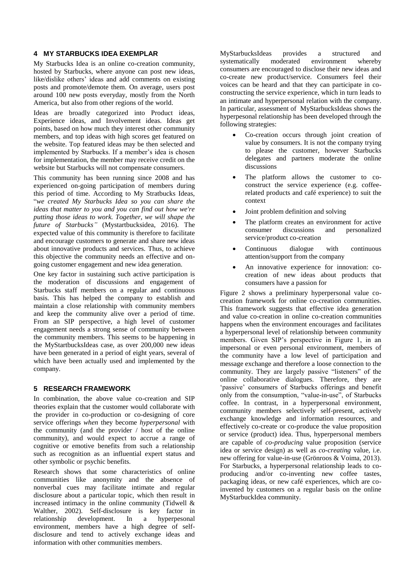#### **4 MY STARBUCKS IDEA EXEMPLAR**

My Starbucks Idea is an online co-creation community, hosted by Starbucks, where anyone can post new ideas, like/dislike others' ideas and add comments on existing posts and promote/demote them. On average, users post around 100 new posts everyday, mostly from the North America, but also from other regions of the world.

Ideas are broadly categorized into Product ideas, Experience ideas, and Involvement ideas. Ideas get points, based on how much they interest other community members, and top ideas with high scores get featured on the website. Top featured ideas may be then selected and implemented by Starbucks. If a member's idea is chosen for implementation, the member may receive credit on the website but Starbucks will not compensate consumers.

This community has been running since 2008 and has experienced on-going participation of members during this period of time. According to My Stratbucks Ideas, "*we created My Starbucks Idea so you can share the ideas that matter to you and you can find out how we're putting those ideas to work. Together, we will shape the future of Starbucks"* (Mystartbucksidea, 2016)*.* The expected value of this community is therefore to facilitate and encourage customers to generate and share new ideas about innovative products and services. Thus, to achieve this objective the community needs an effective and ongoing customer engagement and new idea generation.

One key factor in sustaining such active participation is the moderation of discussions and engagement of Starbucks staff members on a regular and continuous basis. This has helped the company to establish and maintain a close relationship with community members and keep the community alive over a period of time. From an SIP perspective, a high level of customer engagement needs a strong sense of community between the community members. This seems to be happening in the MyStartbucksIdeas case, as over 200,000 new ideas have been generated in a period of eight years, several of which have been actually used and implemented by the company.

#### **5 RESEARCH FRAMEWORK**

In combination, the above value co-creation and SIP theories explain that the customer would collaborate with the provider in co-production or co-designing of core service offerings *when* they become *hyperpersonal* with the community (and the provider / host of the online community), and would expect to accrue a range of cognitive or emotive benefits from such a relationship such as recognition as an influential expert status and other symbolic or psychic benefits.

Research shows that some characteristics of online communities like anonymity and the absence of nonverbal cues may facilitate intimate and regular disclosure about a particular topic, which then result in increased intimacy in the online community (Tidwell & Walther, 2002). Self-disclosure is key factor in relationship development. In a hyperpesonal environment, members have a high degree of selfdisclosure and tend to actively exchange ideas and information with other communities members.

MyStarbucksIdeas provides a structured and systematically moderated environment whereby consumers are encouraged to disclose their new ideas and co-create new product/service. Consumers feel their voices can be heard and that they can participate in coconstructing the service experience, which in turn leads to an intimate and hyperpersonal relation with the company. In particular, assessment of MyStarbucksIdeas shows the hyperpesonal relationship has been developed through the following strategies:

- Co-creation occurs through joint creation of value by consumers. It is not the company trying to please the customer, however Starbucks delegates and partners moderate the online discussions
- The platform allows the customer to coconstruct the service experience (e.g. coffeerelated products and café experience) to suit the context
- Joint problem definition and solving
- The platform creates an environment for active consumer discussions and personalized service/product co-creation
- Continuous dialogue with continuous attention/support from the company
- An innovative experience for innovation: cocreation of new ideas about products that consumers have a passion for

Figure 2 shows a preliminary hyperpersonal value cocreation framework for online co-creation communities. This framework suggests that effective idea generation and value co-creation in online co-creation communities happens when the environment encourages and facilitates a hyperpersonal level of relationship between community members. Given SIP's perspective in Figure 1, in an impersonal or even personal environment, members of the community have a low level of participation and message exchange and therefore a loose connection to the community. They are largely passive "listeners" of the online collaborative dialogues. Therefore, they are 'passive' consumers of Starbucks offerings and benefit only from the consumption, "value-in-use", of Starbucks coffee. In contrast, in a hyperpersonal environment, community members selectively self-present, actively exchange knowledge and information resources, and effectively co-create or co-produce the value proposition or service (product) idea. Thus, hyperpersonal members are capable of *co-producing* value proposition (service idea or service design) as well as *co-creating* value, i.e. new offering for value-in-use (Grönroos & Voima, 2013). For Starbucks, a hyperpersonal relationship leads to coproducing and/or co-inventing new coffee tastes, packaging ideas, or new café experiences, which are coinvented by customers on a regular basis on the online MyStarbuckIdea community.